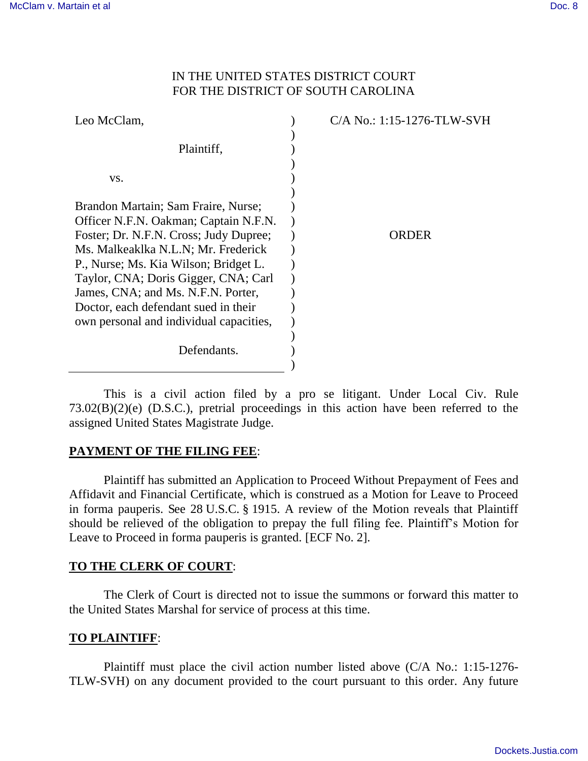## IN THE UNITED STATES DISTRICT COURT FOR THE DISTRICT OF SOUTH CAROLINA

| Leo McClam,                                                                                                                                                                                                                                                                                                                                                             | C/A No.: 1:15-1276-TLW-SVH |
|-------------------------------------------------------------------------------------------------------------------------------------------------------------------------------------------------------------------------------------------------------------------------------------------------------------------------------------------------------------------------|----------------------------|
| Plaintiff,                                                                                                                                                                                                                                                                                                                                                              |                            |
| VS.                                                                                                                                                                                                                                                                                                                                                                     |                            |
| Brandon Martain; Sam Fraire, Nurse;<br>Officer N.F.N. Oakman; Captain N.F.N.<br>Foster; Dr. N.F.N. Cross; Judy Dupree;<br>Ms. Malkeaklka N.L.N; Mr. Frederick<br>P., Nurse; Ms. Kia Wilson; Bridget L.<br>Taylor, CNA; Doris Gigger, CNA; Carl<br>James, CNA; and Ms. N.F.N. Porter,<br>Doctor, each defendant sued in their<br>own personal and individual capacities, | ORDER                      |
| Defendants.                                                                                                                                                                                                                                                                                                                                                             |                            |

 This is a civil action filed by a pro se litigant. Under Local Civ. Rule 73.02(B)(2)(e) (D.S.C.), pretrial proceedings in this action have been referred to the assigned United States Magistrate Judge.

# **PAYMENT OF THE FILING FEE**:

 Plaintiff has submitted an Application to Proceed Without Prepayment of Fees and Affidavit and Financial Certificate, which is construed as a Motion for Leave to Proceed in forma pauperis. See 28 U.S.C. § 1915. A review of the Motion reveals that Plaintiff should be relieved of the obligation to prepay the full filing fee. Plaintiff's Motion for Leave to Proceed in forma pauperis is granted. [ECF No. 2].

### **TO THE CLERK OF COURT**:

 The Clerk of Court is directed not to issue the summons or forward this matter to the United States Marshal for service of process at this time.

### **TO PLAINTIFF**:

 Plaintiff must place the civil action number listed above (C/A No.: 1:15-1276- TLW-SVH) on any document provided to the court pursuant to this order. Any future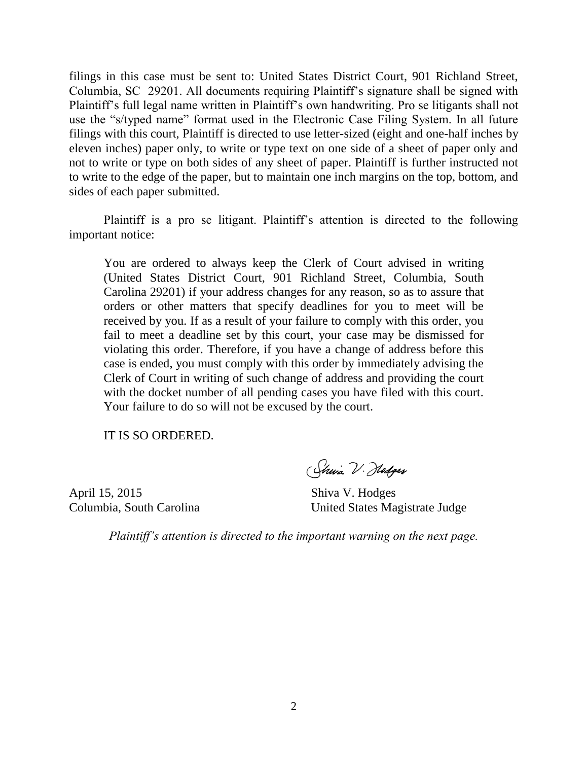filings in this case must be sent to: United States District Court, 901 Richland Street, Columbia, SC 29201. All documents requiring Plaintiff's signature shall be signed with Plaintiff's full legal name written in Plaintiff's own handwriting. Pro se litigants shall not use the "s/typed name" format used in the Electronic Case Filing System. In all future filings with this court, Plaintiff is directed to use letter-sized (eight and one-half inches by eleven inches) paper only, to write or type text on one side of a sheet of paper only and not to write or type on both sides of any sheet of paper. Plaintiff is further instructed not to write to the edge of the paper, but to maintain one inch margins on the top, bottom, and sides of each paper submitted.

Plaintiff is a pro se litigant. Plaintiff's attention is directed to the following important notice:

You are ordered to always keep the Clerk of Court advised in writing (United States District Court, 901 Richland Street, Columbia, South Carolina 29201) if your address changes for any reason, so as to assure that orders or other matters that specify deadlines for you to meet will be received by you. If as a result of your failure to comply with this order, you fail to meet a deadline set by this court, your case may be dismissed for violating this order. Therefore, if you have a change of address before this case is ended, you must comply with this order by immediately advising the Clerk of Court in writing of such change of address and providing the court with the docket number of all pending cases you have filed with this court. Your failure to do so will not be excused by the court.

IT IS SO ORDERED.

April 15, 2015 Shiva V. Hodges

(Sheia V. Hodges

Columbia, South Carolina United States Magistrate Judge

*Plaintiff's attention is directed to the important warning on the next page.*